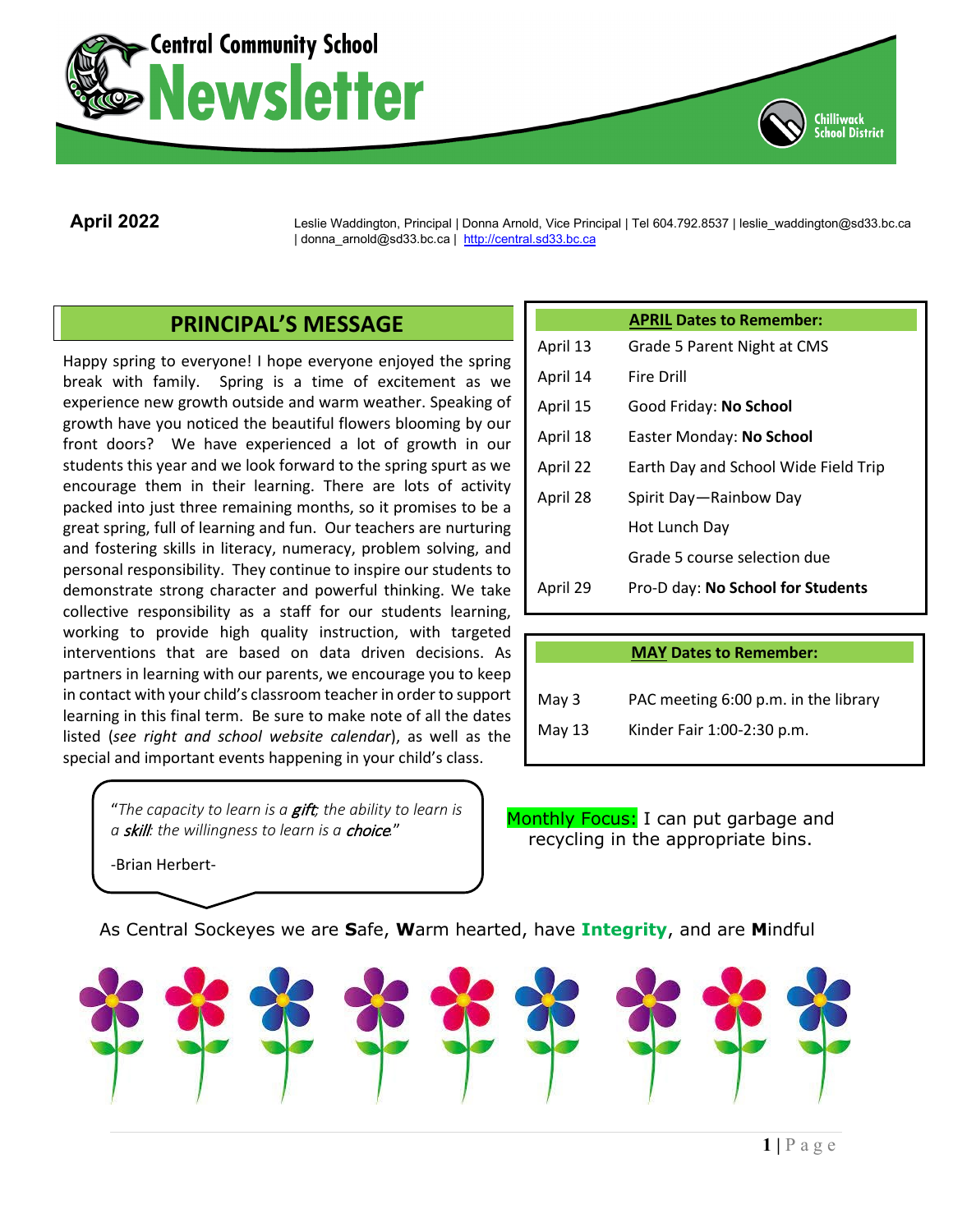



**April 2022** Leslie Waddington, Principal <sup>|</sup> Donna Arnold, Vice Principal | Tel 604.792.8537 | leslie\_waddington@sd33.bc.ca | donna\_arnold@sd33.bc.ca | [http://central.sd33.bc.ca](http://central.sd33.bc.ca/)

# **PRINCIPAL'S MESSAGE**

Happy spring to everyone! I hope everyone enjoyed the spring break with family. Spring is a time of excitement as we experience new growth outside and warm weather. Speaking of growth have you noticed the beautiful flowers blooming by our front doors? We have experienced a lot of growth in our students this year and we look forward to the spring spurt as we encourage them in their learning. There are lots of activity packed into just three remaining months, so it promises to be a great spring, full of learning and fun. Our teachers are nurturing and fostering skills in literacy, numeracy, problem solving, and personal responsibility. They continue to inspire our students to demonstrate strong character and powerful thinking. We take collective responsibility as a staff for our students learning, working to provide high quality instruction, with targeted interventions that are based on data driven decisions. As partners in learning with our parents, we encourage you to keep in contact with your child's classroom teacher in order to support learning in this final term. Be sure to make note of all the dates listed (*see right and school website calendar*), as well as the special and important events happening in your child's class.

> "*The capacity to learn is a* gift*; the ability to learn is a* skill*: the willingness to learn is a* choice*.*"

|          | <b>APRIL Dates to Remember:</b>      |  |  |
|----------|--------------------------------------|--|--|
| April 13 | Grade 5 Parent Night at CMS          |  |  |
| April 14 | Fire Drill                           |  |  |
| April 15 | Good Friday: No School               |  |  |
| April 18 | Easter Monday: No School             |  |  |
| April 22 | Earth Day and School Wide Field Trip |  |  |
| April 28 | Spirit Day-Rainbow Day               |  |  |
|          | Hot Lunch Day                        |  |  |
|          | Grade 5 course selection due         |  |  |
| April 29 | Pro-D day: No School for Students    |  |  |
|          |                                      |  |  |

|  |  | <b>MAY Dates to Remember:</b> |  |
|--|--|-------------------------------|--|
|  |  |                               |  |

| May $3$ | PAC meeting 6:00 p.m. in the library |
|---------|--------------------------------------|
| May 13  | Kinder Fair 1:00-2:30 p.m.           |

Monthly Focus: I can put garbage and recycling in the appropriate bins.

-Brian Herbert-

As Central Sockeyes we are **S**afe, **W**arm hearted, have **Integrity**, and are **M**indful

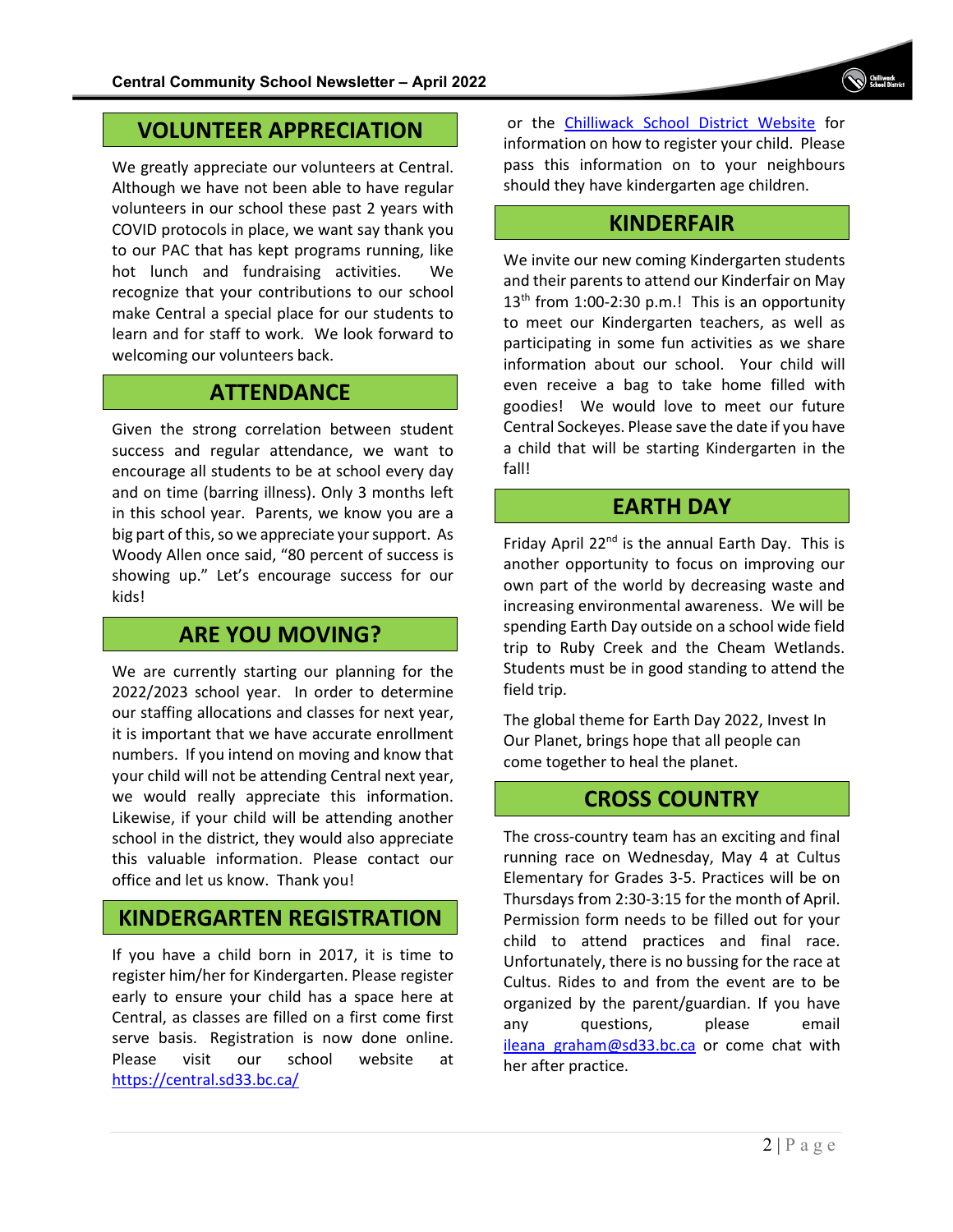# **VOLUNTEER APPRECIATION**

We greatly appreciate our volunteers at Central. Although we have not been able to have regular volunteers in our school these past 2 years with COVID protocols in place, we want say thank you to our PAC that has kept programs running, like hot lunch and fundraising activities. We recognize that your contributions to our school make Central a special place for our students to learn and for staff to work. We look forward to welcoming our volunteers back.

## **ATTENDANCE**

Given the strong correlation between student success and regular attendance, we want to encourage all students to be at school every day and on time (barring illness). Only 3 months left in this school year. Parents, we know you are a big part of this, so we appreciate your support. As Woody Allen once said, "80 percent of success is showing up." Let's encourage success for our kids!

# **ARE YOU MOVING?**

We are currently starting our planning for the 2022/2023 school year. In order to determine our staffing allocations and classes for next year, it is important that we have accurate enrollment numbers. If you intend on moving and know that your child will not be attending Central next year, we would really appreciate this information. Likewise, if your child will be attending another school in the district, they would also appreciate this valuable information. Please contact our office and let us know. Thank you!

# **KINDERGARTEN REGISTRATION**

If you have a child born in 2017, it is time to register him/her for Kindergarten. Please register early to ensure your child has a space here at Central, as classes are filled on a first come first serve basis. Registration is now done online. Please visit our school website at <https://central.sd33.bc.ca/>

or the [Chilliwack School District Website](https://www.sd33.bc.ca/registration) for information on how to register your child. Please pass this information on to your neighbours should they have kindergarten age children.

# **KINDERFAIR**

We invite our new coming Kindergarten students and their parents to attend our Kinderfair on May  $13<sup>th</sup>$  from 1:00-2:30 p.m.! This is an opportunity to meet our Kindergarten teachers, as well as participating in some fun activities as we share information about our school. Your child will even receive a bag to take home filled with goodies! We would love to meet our future Central Sockeyes. Please save the date if you have a child that will be starting Kindergarten in the fall!

# **EARTH DAY**

Friday April  $22<sup>nd</sup>$  is the annual Earth Day. This is another opportunity to focus on improving our own part of the world by decreasing waste and increasing environmental awareness. We will be spending Earth Day outside on a school wide field trip to Ruby Creek and the Cheam Wetlands. Students must be in good standing to attend the field trip.

The global theme for Earth Day 2022, Invest In Our Planet, brings hope that all people can come together to heal the planet.

# **CROSS COUNTRY**

The cross-country team has an exciting and final running race on Wednesday, May 4 at Cultus Elementary for Grades 3-5. Practices will be on Thursdays from 2:30-3:15 for the month of April. Permission form needs to be filled out for your child to attend practices and final race. Unfortunately, there is no bussing for the race at Cultus. Rides to and from the event are to be organized by the parent/guardian. If you have any questions, please email ileana graham@sd33.bc.ca or come chat with her after practice.